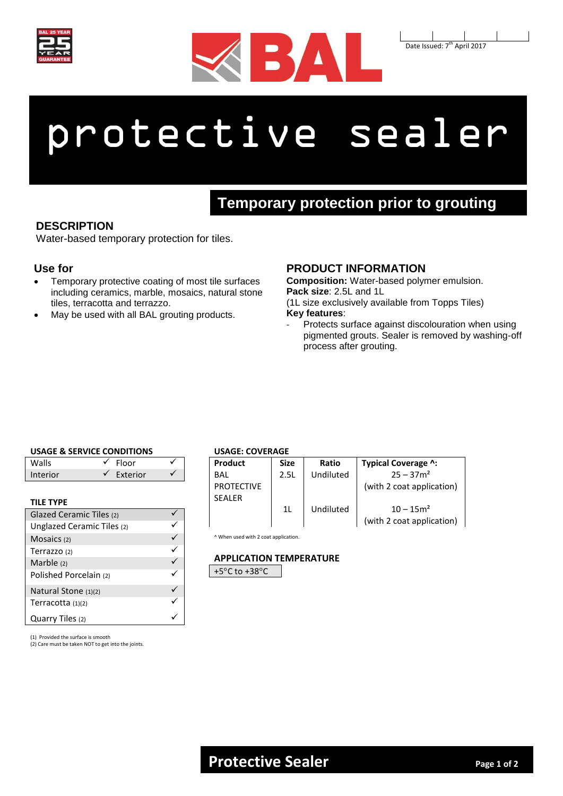



Date Issued: 7<sup>th</sup> April 2017

# protective sealer

# **Temporary protection prior to grouting**

## **DESCRIPTION**

Water-based temporary protection for tiles.

#### **Use for**

- Temporary protective coating of most tile surfaces including ceramics, marble, mosaics, natural stone tiles, terracotta and terrazzo.
- May be used with all BAL grouting products.

### **PRODUCT INFORMATION**

**Composition:** Water-based polymer emulsion. **Pack size**: 2.5L and 1L

(1L size exclusively available from Topps Tiles) **Key features**:

Protects surface against discolouration when using pigmented grouts. Sealer is removed by washing-off process after grouting.

#### **USAGE & SERVICE CONDITIONS**

| Walls    | rloor    |  |
|----------|----------|--|
| Interior | Exterior |  |

#### **TILE TYPE**

| Glazed Ceramic Tiles (2)   |  |
|----------------------------|--|
| Unglazed Ceramic Tiles (2) |  |
| Mosaics (2)                |  |
| Terrazzo (2)               |  |
| Marble $(2)$               |  |
| Polished Porcelain (2)     |  |
| Natural Stone (1)(2)       |  |
| Terracotta (1)(2)          |  |
| Quarry Tiles (2)           |  |

**USAGE: COVERAGE**

| Product           | <b>Size</b> | Ratio     | Typical Coverage ^:       |  |
|-------------------|-------------|-----------|---------------------------|--|
| BAI               | 2.5L        | Undiluted | $25 - 37m^2$              |  |
| <b>PROTECTIVE</b> |             |           | (with 2 coat application) |  |
| <b>SFALFR</b>     |             |           |                           |  |
|                   | 11          | Undiluted | $10 - 15m^2$              |  |
|                   |             |           | (with 2 coat application) |  |

^ When used with 2 coat application.

#### **APPLICATION TEMPERATURE**

+5°C to +38°C

(1) Provided the surface is smooth

(2) Care must be taken NOT to get into the joints.